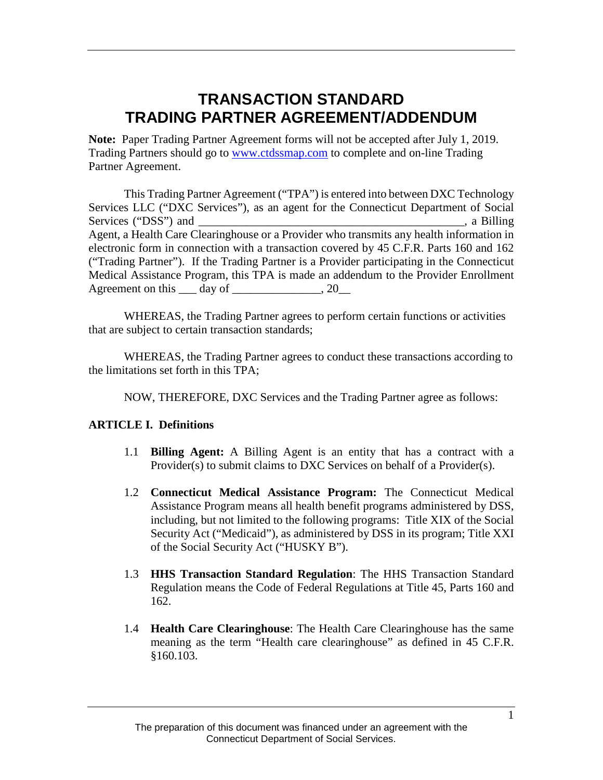## **TRANSACTION STANDARD TRADING PARTNER AGREEMENT/ADDENDUM**

**Note:** Paper Trading Partner Agreement forms will not be accepted after July 1, 2019. Trading Partners should go to [www.ctdssmap.com](http://www.ctdssmap.com/) to complete and on-line Trading Partner Agreement.

This Trading Partner Agreement ("TPA") is entered into between DXC Technology Services LLC ("DXC Services"), as an agent for the Connecticut Department of Social Services ("DSS") and <br>
i. a Billing Agent, a Health Care Clearinghouse or a Provider who transmits any health information in electronic form in connection with a transaction covered by 45 C.F.R. Parts 160 and 162 ("Trading Partner"). If the Trading Partner is a Provider participating in the Connecticut Medical Assistance Program, this TPA is made an addendum to the Provider Enrollment Agreement on this  $\frac{day}{dx}$  of  $\frac{20}{x^2}$ 

WHEREAS, the Trading Partner agrees to perform certain functions or activities that are subject to certain transaction standards;

WHEREAS, the Trading Partner agrees to conduct these transactions according to the limitations set forth in this TPA;

NOW, THEREFORE, DXC Services and the Trading Partner agree as follows:

#### **ARTICLE I. Definitions**

- 1.1 **Billing Agent:** A Billing Agent is an entity that has a contract with a Provider(s) to submit claims to DXC Services on behalf of a Provider(s).
- 1.2 **Connecticut Medical Assistance Program:** The Connecticut Medical Assistance Program means all health benefit programs administered by DSS, including, but not limited to the following programs: Title XIX of the Social Security Act ("Medicaid"), as administered by DSS in its program; Title XXI of the Social Security Act ("HUSKY B").
- 1.3 **HHS Transaction Standard Regulation**: The HHS Transaction Standard Regulation means the Code of Federal Regulations at Title 45, Parts 160 and 162.
- 1.4 **Health Care Clearinghouse**: The Health Care Clearinghouse has the same meaning as the term "Health care clearinghouse" as defined in 45 C.F.R. §160.103.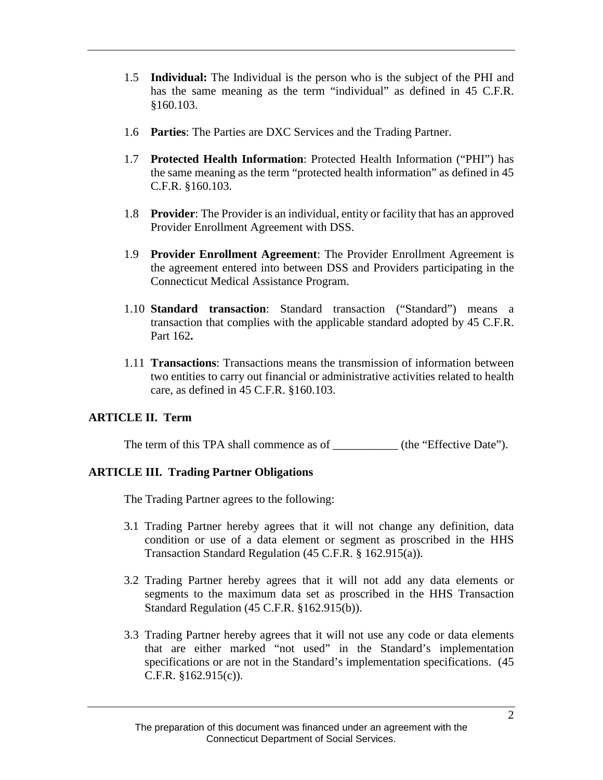- 1.5 **Individual:** The Individual is the person who is the subject of the PHI and has the same meaning as the term "individual" as defined in 45 C.F.R. §160.103.
- 1.6 **Parties**: The Parties are DXC Services and the Trading Partner.
- 1.7 **Protected Health Information**: Protected Health Information ("PHI") has the same meaning as the term "protected health information" as defined in 45 C.F.R. §160.103.
- 1.8 **Provider**: The Provider is an individual, entity or facility that has an approved Provider Enrollment Agreement with DSS.
- 1.9 **Provider Enrollment Agreement**: The Provider Enrollment Agreement is the agreement entered into between DSS and Providers participating in the Connecticut Medical Assistance Program.
- 1.10 **Standard transaction**: Standard transaction ("Standard") means a transaction that complies with the applicable standard adopted by 45 C.F.R. Part 162**.**
- 1.11 **Transactions**: Transactions means the transmission of information between two entities to carry out financial or administrative activities related to health care, as defined in 45 C.F.R. §160.103.

### **ARTICLE II. Term**

The term of this TPA shall commence as of \_\_\_\_\_\_\_\_\_\_\_\_ (the "Effective Date").

#### **ARTICLE III. Trading Partner Obligations**

The Trading Partner agrees to the following:

- 3.1 Trading Partner hereby agrees that it will not change any definition, data condition or use of a data element or segment as proscribed in the HHS Transaction Standard Regulation (45 C.F.R. § 162.915(a)).
- 3.2 Trading Partner hereby agrees that it will not add any data elements or segments to the maximum data set as proscribed in the HHS Transaction Standard Regulation (45 C.F.R. §162.915(b)).
- 3.3 Trading Partner hereby agrees that it will not use any code or data elements that are either marked "not used" in the Standard's implementation specifications or are not in the Standard's implementation specifications. (45) C.F.R. §162.915(c)).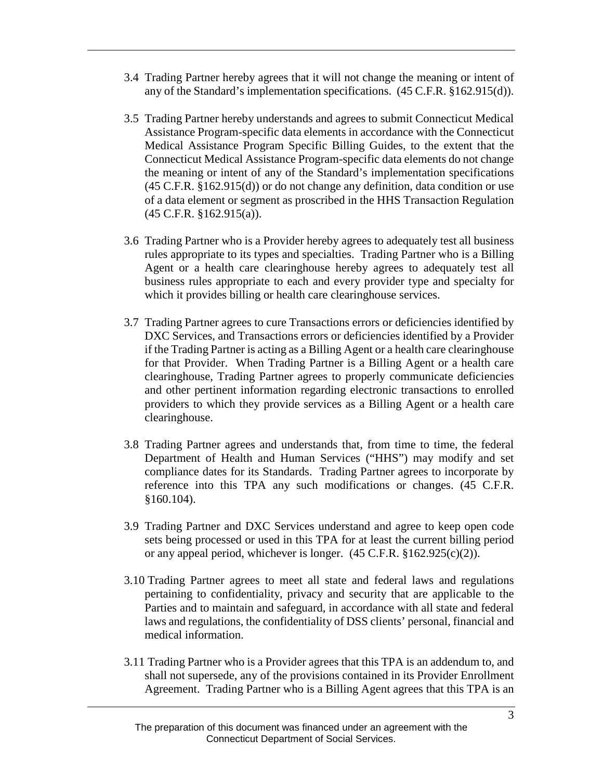- 3.4 Trading Partner hereby agrees that it will not change the meaning or intent of any of the Standard's implementation specifications. (45 C.F.R. §162.915(d)).
- 3.5 Trading Partner hereby understands and agrees to submit Connecticut Medical Assistance Program-specific data elements in accordance with the Connecticut Medical Assistance Program Specific Billing Guides, to the extent that the Connecticut Medical Assistance Program-specific data elements do not change the meaning or intent of any of the Standard's implementation specifications (45 C.F.R. §162.915(d)) or do not change any definition, data condition or use of a data element or segment as proscribed in the HHS Transaction Regulation (45 C.F.R. §162.915(a)).
- 3.6 Trading Partner who is a Provider hereby agrees to adequately test all business rules appropriate to its types and specialties. Trading Partner who is a Billing Agent or a health care clearinghouse hereby agrees to adequately test all business rules appropriate to each and every provider type and specialty for which it provides billing or health care clearinghouse services.
- 3.7 Trading Partner agrees to cure Transactions errors or deficiencies identified by DXC Services, and Transactions errors or deficiencies identified by a Provider if the Trading Partner is acting as a Billing Agent or a health care clearinghouse for that Provider. When Trading Partner is a Billing Agent or a health care clearinghouse, Trading Partner agrees to properly communicate deficiencies and other pertinent information regarding electronic transactions to enrolled providers to which they provide services as a Billing Agent or a health care clearinghouse.
- 3.8 Trading Partner agrees and understands that, from time to time, the federal Department of Health and Human Services ("HHS") may modify and set compliance dates for its Standards. Trading Partner agrees to incorporate by reference into this TPA any such modifications or changes. (45 C.F.R. §160.104).
- 3.9 Trading Partner and DXC Services understand and agree to keep open code sets being processed or used in this TPA for at least the current billing period or any appeal period, whichever is longer.  $(45 \text{ C.F.R. } §162.925(c)(2))$ .
- 3.10 Trading Partner agrees to meet all state and federal laws and regulations pertaining to confidentiality, privacy and security that are applicable to the Parties and to maintain and safeguard, in accordance with all state and federal laws and regulations, the confidentiality of DSS clients' personal, financial and medical information.
- 3.11 Trading Partner who is a Provider agrees that this TPA is an addendum to, and shall not supersede, any of the provisions contained in its Provider Enrollment Agreement. Trading Partner who is a Billing Agent agrees that this TPA is an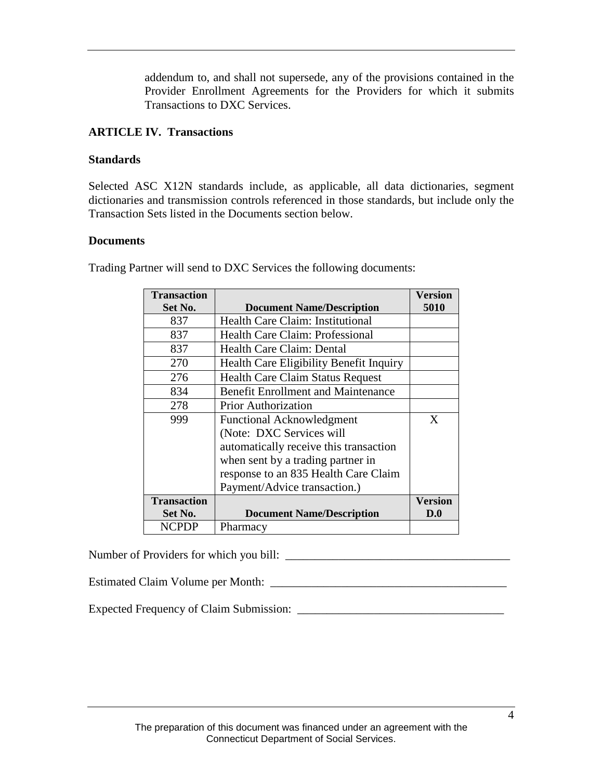addendum to, and shall not supersede, any of the provisions contained in the Provider Enrollment Agreements for the Providers for which it submits Transactions to DXC Services.

#### **ARTICLE IV. Transactions**

#### **Standards**

Selected ASC X12N standards include, as applicable, all data dictionaries, segment dictionaries and transmission controls referenced in those standards, but include only the Transaction Sets listed in the Documents section below.

#### **Documents**

| <b>Transaction</b> |                                           | Version        |
|--------------------|-------------------------------------------|----------------|
| Set No.            | <b>Document Name/Description</b>          | 5010           |
| 837                | Health Care Claim: Institutional          |                |
| 837                | <b>Health Care Claim: Professional</b>    |                |
| 837                | Health Care Claim: Dental                 |                |
| 270                | Health Care Eligibility Benefit Inquiry   |                |
| 276                | <b>Health Care Claim Status Request</b>   |                |
| 834                | <b>Benefit Enrollment and Maintenance</b> |                |
| 278                | <b>Prior Authorization</b>                |                |
| 999                | <b>Functional Acknowledgment</b>          | X              |
|                    | (Note: DXC Services will                  |                |
|                    | automatically receive this transaction    |                |
|                    | when sent by a trading partner in         |                |
|                    | response to an 835 Health Care Claim      |                |
|                    | Payment/Advice transaction.)              |                |
| <b>Transaction</b> |                                           | <b>Version</b> |
| Set No.            | <b>Document Name/Description</b>          | D.0            |
| <b>NCPDP</b>       | Pharmacy                                  |                |

Trading Partner will send to DXC Services the following documents:

Number of Providers for which you bill: \_\_\_\_\_\_\_\_\_\_\_\_\_\_\_\_\_\_\_\_\_\_\_\_\_\_\_\_\_\_\_\_\_\_\_\_\_\_

Estimated Claim Volume per Month: \_\_\_\_\_\_\_\_\_\_\_\_\_\_\_\_\_\_\_\_\_\_\_\_\_\_\_\_\_\_\_\_\_\_\_\_\_\_\_\_

Expected Frequency of Claim Submission: \_\_\_\_\_\_\_\_\_\_\_\_\_\_\_\_\_\_\_\_\_\_\_\_\_\_\_\_\_\_\_\_\_\_\_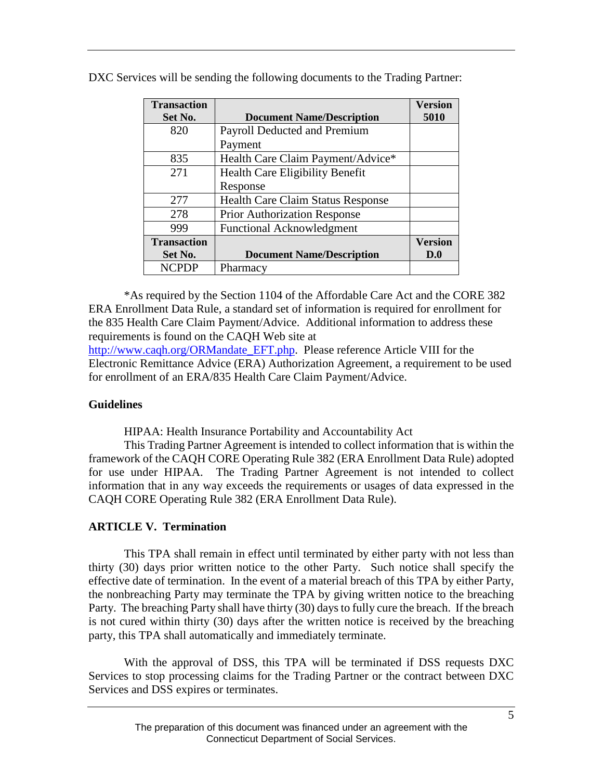| <b>Transaction</b> |                                          | <b>Version</b> |
|--------------------|------------------------------------------|----------------|
| Set No.            | <b>Document Name/Description</b>         | 5010           |
| 820                | Payroll Deducted and Premium             |                |
|                    | Payment                                  |                |
| 835                | Health Care Claim Payment/Advice*        |                |
| 271                | Health Care Eligibility Benefit          |                |
|                    | Response                                 |                |
| 2.77               | <b>Health Care Claim Status Response</b> |                |
| 278                | <b>Prior Authorization Response</b>      |                |
| 999                | <b>Functional Acknowledgment</b>         |                |
| <b>Transaction</b> |                                          | <b>Version</b> |
| Set No.            | <b>Document Name/Description</b>         | D.0            |
| <b>NCPDP</b>       | Pharmacy                                 |                |

DXC Services will be sending the following documents to the Trading Partner:

\*As required by the Section 1104 of the Affordable Care Act and the CORE 382 ERA Enrollment Data Rule, a standard set of information is required for enrollment for the 835 Health Care Claim Payment/Advice. Additional information to address these requirements is found on the CAQH Web site at

http://www.caqh.org/ORMandate EFT.php. Please reference Article VIII for the Electronic Remittance Advice (ERA) Authorization Agreement, a requirement to be used for enrollment of an ERA/835 Health Care Claim Payment/Advice.

#### **Guidelines**

HIPAA: Health Insurance Portability and Accountability Act

This Trading Partner Agreement is intended to collect information that is within the framework of the CAQH CORE Operating Rule 382 (ERA Enrollment Data Rule) adopted for use under HIPAA. The Trading Partner Agreement is not intended to collect information that in any way exceeds the requirements or usages of data expressed in the CAQH CORE Operating Rule 382 (ERA Enrollment Data Rule).

#### **ARTICLE V. Termination**

This TPA shall remain in effect until terminated by either party with not less than thirty (30) days prior written notice to the other Party. Such notice shall specify the effective date of termination. In the event of a material breach of this TPA by either Party, the nonbreaching Party may terminate the TPA by giving written notice to the breaching Party. The breaching Party shall have thirty (30) days to fully cure the breach. If the breach is not cured within thirty (30) days after the written notice is received by the breaching party, this TPA shall automatically and immediately terminate.

With the approval of DSS, this TPA will be terminated if DSS requests DXC Services to stop processing claims for the Trading Partner or the contract between DXC Services and DSS expires or terminates.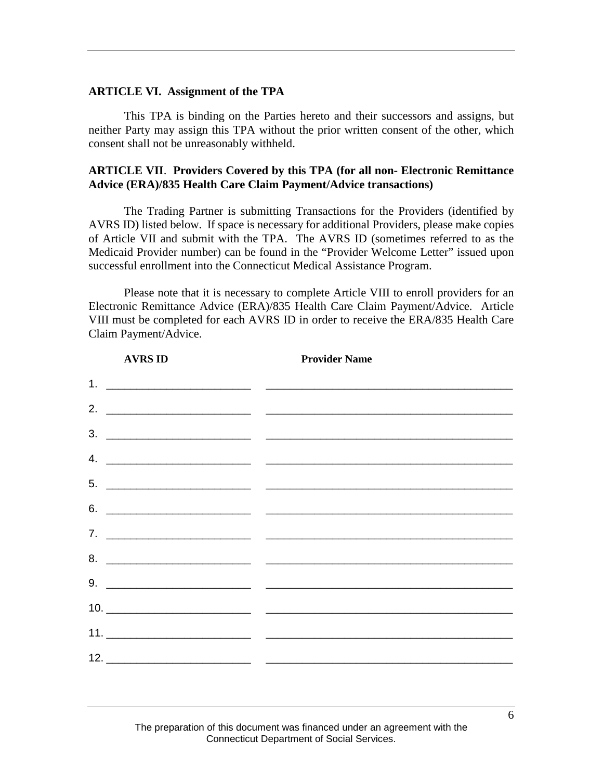#### **ARTICLE VI. Assignment of the TPA**

This TPA is binding on the Parties hereto and their successors and assigns, but neither Party may assign this TPA without the prior written consent of the other, which consent shall not be unreasonably withheld.

#### **ARTICLE VII**. **Providers Covered by this TPA (for all non- Electronic Remittance Advice (ERA)/835 Health Care Claim Payment/Advice transactions)**

The Trading Partner is submitting Transactions for the Providers (identified by AVRS ID) listed below. If space is necessary for additional Providers, please make copies of Article VII and submit with the TPA. The AVRS ID (sometimes referred to as the Medicaid Provider number) can be found in the "Provider Welcome Letter" issued upon successful enrollment into the Connecticut Medical Assistance Program.

Please note that it is necessary to complete Article VIII to enroll providers for an Electronic Remittance Advice (ERA)/835 Health Care Claim Payment/Advice. Article VIII must be completed for each AVRS ID in order to receive the ERA/835 Health Care Claim Payment/Advice.

| <b>AVRS ID</b> | <b>Provider Name</b>                                                                                                                                                                                                                                                                                                                                                                                                                       |
|----------------|--------------------------------------------------------------------------------------------------------------------------------------------------------------------------------------------------------------------------------------------------------------------------------------------------------------------------------------------------------------------------------------------------------------------------------------------|
|                |                                                                                                                                                                                                                                                                                                                                                                                                                                            |
|                |                                                                                                                                                                                                                                                                                                                                                                                                                                            |
|                | $\frac{3}{2}$                                                                                                                                                                                                                                                                                                                                                                                                                              |
|                | 4. $\overline{\phantom{a}}$                                                                                                                                                                                                                                                                                                                                                                                                                |
|                | $5.$ $\overline{\phantom{a}}$                                                                                                                                                                                                                                                                                                                                                                                                              |
|                | $\overline{6.}$ $\overline{\phantom{1.}0}$                                                                                                                                                                                                                                                                                                                                                                                                 |
|                | 7. $\overline{\phantom{a}}$                                                                                                                                                                                                                                                                                                                                                                                                                |
|                | $8.$ $\overline{\phantom{a}}$                                                                                                                                                                                                                                                                                                                                                                                                              |
|                |                                                                                                                                                                                                                                                                                                                                                                                                                                            |
|                |                                                                                                                                                                                                                                                                                                                                                                                                                                            |
|                |                                                                                                                                                                                                                                                                                                                                                                                                                                            |
|                |                                                                                                                                                                                                                                                                                                                                                                                                                                            |
|                | $\begin{array}{c c c c c} \hline \multicolumn{3}{c }{\textbf{12.}} & \multicolumn{3}{c }{\textbf{13.}} \\ \hline \multicolumn{3}{c }{\textbf{14.}} & \multicolumn{3}{c }{\textbf{15.}} \\ \hline \multicolumn{3}{c }{\textbf{16.}} & \multicolumn{3}{c }{\textbf{17.}} \\ \hline \multicolumn{3}{c }{\textbf{18.}} & \multicolumn{3}{c }{\textbf{19.}} \\ \hline \multicolumn{3}{c }{\textbf{19.}} & \multicolumn{3}{c }{\textbf{19.}} \\$ |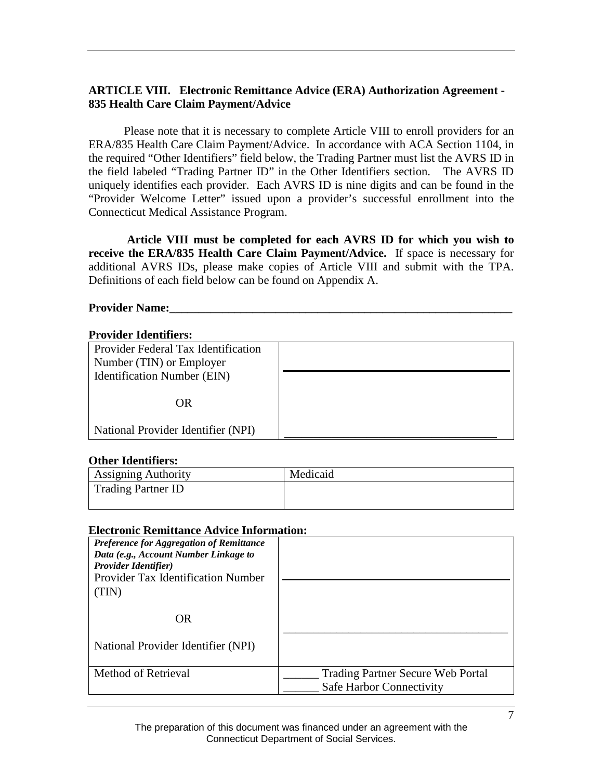#### **ARTICLE VIII. Electronic Remittance Advice (ERA) Authorization Agreement - 835 Health Care Claim Payment/Advice**

Please note that it is necessary to complete Article VIII to enroll providers for an ERA/835 Health Care Claim Payment/Advice. In accordance with ACA Section 1104, in the required "Other Identifiers" field below, the Trading Partner must list the AVRS ID in the field labeled "Trading Partner ID" in the Other Identifiers section. The AVRS ID uniquely identifies each provider. Each AVRS ID is nine digits and can be found in the "Provider Welcome Letter" issued upon a provider's successful enrollment into the Connecticut Medical Assistance Program.

**Article VIII must be completed for each AVRS ID for which you wish to receive the ERA/835 Health Care Claim Payment/Advice.** If space is necessary for additional AVRS IDs, please make copies of Article VIII and submit with the TPA. Definitions of each field below can be found on Appendix A.

#### **Provider Name:**

#### **Provider Identifiers:**

| Provider Federal Tax Identification |  |
|-------------------------------------|--|
| Number (TIN) or Employer            |  |
| Identification Number (EIN)         |  |
| OR                                  |  |
| National Provider Identifier (NPI)  |  |

#### **Other Identifiers:**

| <b>Assigning Authority</b> | Medicaid |  |
|----------------------------|----------|--|
| Trading Partner ID         |          |  |

#### **Electronic Remittance Advice Information:**

| Preference for Aggregation of Remittance<br>Data (e.g., Account Number Linkage to<br><b>Provider Identifier</b> )<br>Provider Tax Identification Number<br>'IN) |                                                               |
|-----------------------------------------------------------------------------------------------------------------------------------------------------------------|---------------------------------------------------------------|
| OR                                                                                                                                                              |                                                               |
| National Provider Identifier (NPI)                                                                                                                              |                                                               |
| Method of Retrieval                                                                                                                                             | Trading Partner Secure Web Portal<br>Safe Harbor Connectivity |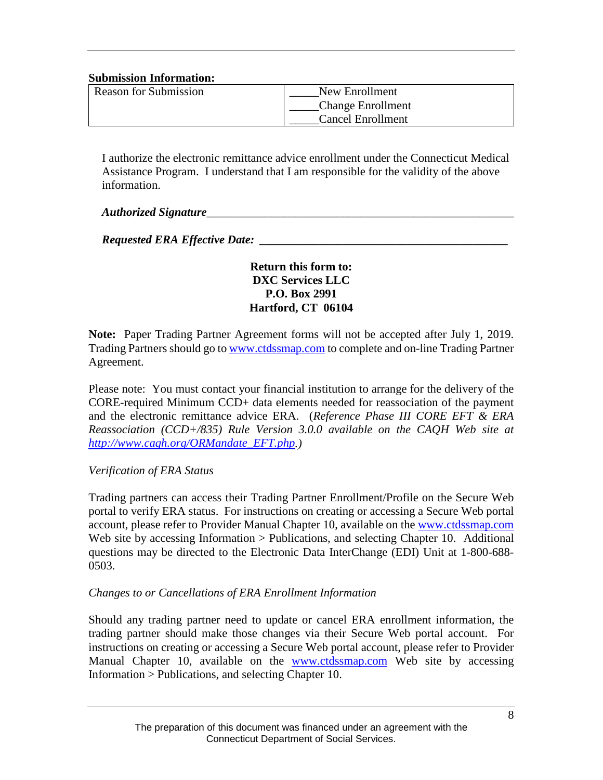#### **Submission Information:**

| <b>Reason for Submission</b> | New Enrollment           |
|------------------------------|--------------------------|
|                              | <b>Change Enrollment</b> |
|                              | <b>Cancel Enrollment</b> |

I authorize the electronic remittance advice enrollment under the Connecticut Medical Assistance Program. I understand that I am responsible for the validity of the above information.

#### *Authorized Signature*

*Requested ERA Effective Date:* 

#### **Return this form to: DXC Services LLC P.O. Box 2991 Hartford, CT 06104**

**Note:** Paper Trading Partner Agreement forms will not be accepted after July 1, 2019. Trading Partners should go to [www.ctdssmap.com](http://www.ctdssmap.com/) to complete and on-line Trading Partner Agreement.

Please note: You must contact your financial institution to arrange for the delivery of the CORE-required Minimum CCD+ data elements needed for reassociation of the payment and the electronic remittance advice ERA. (*Reference Phase III CORE EFT & ERA Reassociation (CCD+/835) Rule Version 3.0.0 available on the CAQH Web site at [http://www.caqh.org/ORMandate\\_EFT.php.](http://www.caqh.org/ORMandate_EFT.php))*

#### *Verification of ERA Status*

Trading partners can access their Trading Partner Enrollment/Profile on the Secure Web portal to verify ERA status. For instructions on creating or accessing a Secure Web portal account, please refer to Provider Manual Chapter 10, available on the [www.ctdssmap.com](http://www.ctdssmap.com/) Web site by accessing Information > Publications, and selecting Chapter 10. Additional questions may be directed to the Electronic Data InterChange (EDI) Unit at 1-800-688- 0503.

#### *Changes to or Cancellations of ERA Enrollment Information*

Should any trading partner need to update or cancel ERA enrollment information, the trading partner should make those changes via their Secure Web portal account. For instructions on creating or accessing a Secure Web portal account, please refer to Provider Manual Chapter 10, available on the [www.ctdssmap.com](http://www.ctdssmap.com/) Web site by accessing Information > Publications, and selecting Chapter 10.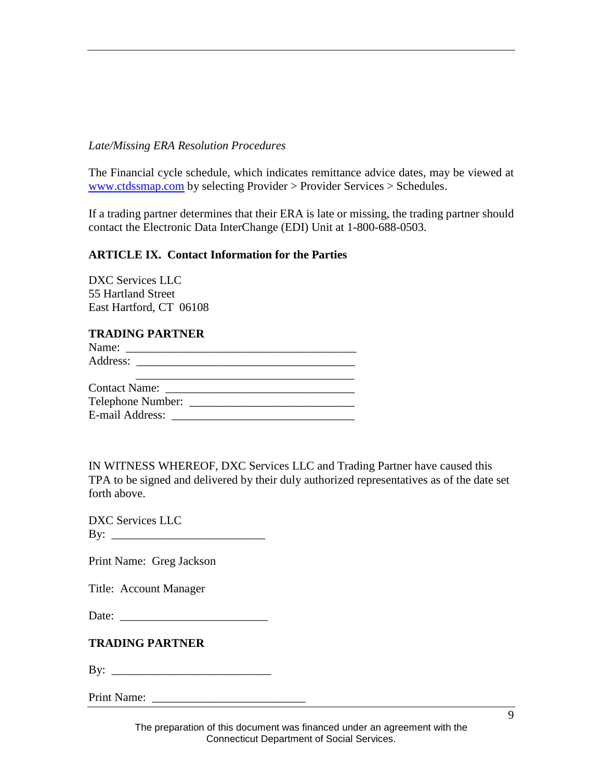#### *Late/Missing ERA Resolution Procedures*

The Financial cycle schedule, which indicates remittance advice dates, may be viewed at [www.ctdssmap.com](http://www.ctdssmap.com/) by selecting Provider > Provider Services > Schedules.

If a trading partner determines that their ERA is late or missing, the trading partner should contact the Electronic Data InterChange (EDI) Unit at 1-800-688-0503.

#### **ARTICLE IX. Contact Information for the Parties**

DXC Services LLC 55 Hartland Street East Hartford, CT 06108

#### **TRADING PARTNER**

| Name:                |  |
|----------------------|--|
|                      |  |
|                      |  |
| <b>Contact Name:</b> |  |
| Telephone Number:    |  |

| E-mail Address: |  |
|-----------------|--|
|                 |  |

IN WITNESS WHEREOF, DXC Services LLC and Trading Partner have caused this TPA to be signed and delivered by their duly authorized representatives as of the date set forth above.

DXC Services LLC By: \_\_\_\_\_\_\_\_\_\_\_\_\_\_\_\_\_\_\_\_\_\_\_\_\_\_

Print Name: Greg Jackson

Title: Account Manager

Date: \_\_\_\_\_\_\_\_\_\_\_\_\_\_\_\_\_\_\_\_\_\_\_\_\_

#### **TRADING PARTNER**

 $\mathbf{B} \mathbf{y}$ :

Print Name: \_\_\_\_\_\_\_\_\_\_\_\_\_\_\_\_\_\_\_\_\_\_\_\_\_\_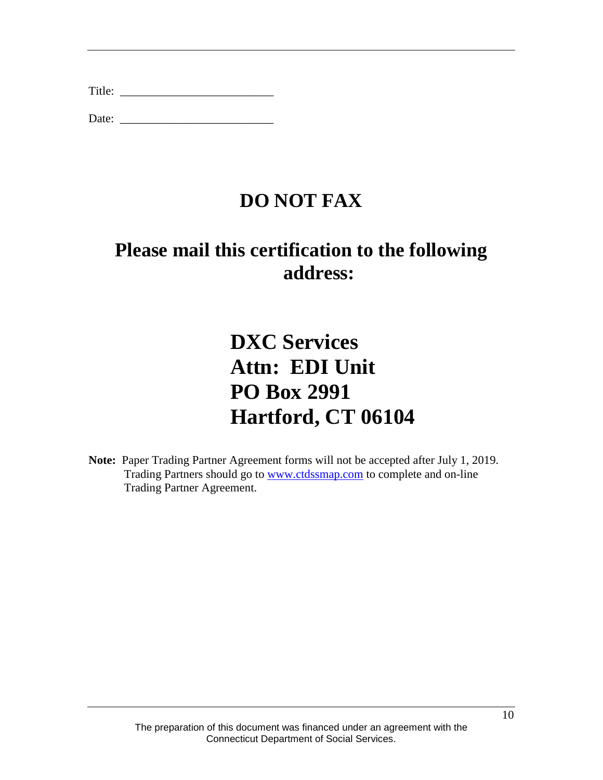Date: \_\_\_\_\_\_\_\_\_\_\_\_\_\_\_\_\_\_\_\_\_\_\_\_\_\_

# **DO NOT FAX**

# **Please mail this certification to the following address:**

# **DXC Services Attn: EDI Unit PO Box 2991 Hartford, CT 06104**

**Note:** Paper Trading Partner Agreement forms will not be accepted after July 1, 2019. Trading Partners should go to [www.ctdssmap.com](http://www.ctdssmap.com/) to complete and on-line Trading Partner Agreement.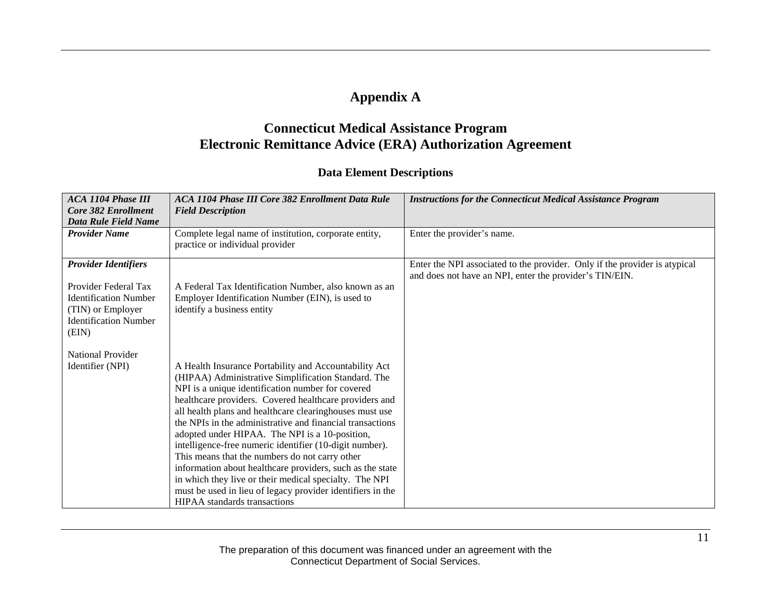## **Appendix A**

## **Connecticut Medical Assistance Program Electronic Remittance Advice (ERA) Authorization Agreement**

#### **Data Element Descriptions**

| <b>ACA 1104 Phase III</b><br>Core 382 Enrollment<br>Data Rule Field Name                                                                          | ACA 1104 Phase III Core 382 Enrollment Data Rule<br><b>Field Description</b>                                                                                                                                                                                                                                                                                                                                                                                                                                                                                                                                                                                                                                                                   | <b>Instructions for the Connecticut Medical Assistance Program</b>                                                                    |
|---------------------------------------------------------------------------------------------------------------------------------------------------|------------------------------------------------------------------------------------------------------------------------------------------------------------------------------------------------------------------------------------------------------------------------------------------------------------------------------------------------------------------------------------------------------------------------------------------------------------------------------------------------------------------------------------------------------------------------------------------------------------------------------------------------------------------------------------------------------------------------------------------------|---------------------------------------------------------------------------------------------------------------------------------------|
| <b>Provider Name</b>                                                                                                                              | Complete legal name of institution, corporate entity,<br>practice or individual provider                                                                                                                                                                                                                                                                                                                                                                                                                                                                                                                                                                                                                                                       | Enter the provider's name.                                                                                                            |
| <b>Provider Identifiers</b><br>Provider Federal Tax<br><b>Identification Number</b><br>(TIN) or Employer<br><b>Identification Number</b><br>(EIN) | A Federal Tax Identification Number, also known as an<br>Employer Identification Number (EIN), is used to<br>identify a business entity                                                                                                                                                                                                                                                                                                                                                                                                                                                                                                                                                                                                        | Enter the NPI associated to the provider. Only if the provider is atypical<br>and does not have an NPI, enter the provider's TIN/EIN. |
| <b>National Provider</b><br>Identifier (NPI)                                                                                                      | A Health Insurance Portability and Accountability Act<br>(HIPAA) Administrative Simplification Standard. The<br>NPI is a unique identification number for covered<br>healthcare providers. Covered healthcare providers and<br>all health plans and healthcare clearinghouses must use<br>the NPIs in the administrative and financial transactions<br>adopted under HIPAA. The NPI is a 10-position,<br>intelligence-free numeric identifier (10-digit number).<br>This means that the numbers do not carry other<br>information about healthcare providers, such as the state<br>in which they live or their medical specialty. The NPI<br>must be used in lieu of legacy provider identifiers in the<br><b>HIPAA</b> standards transactions |                                                                                                                                       |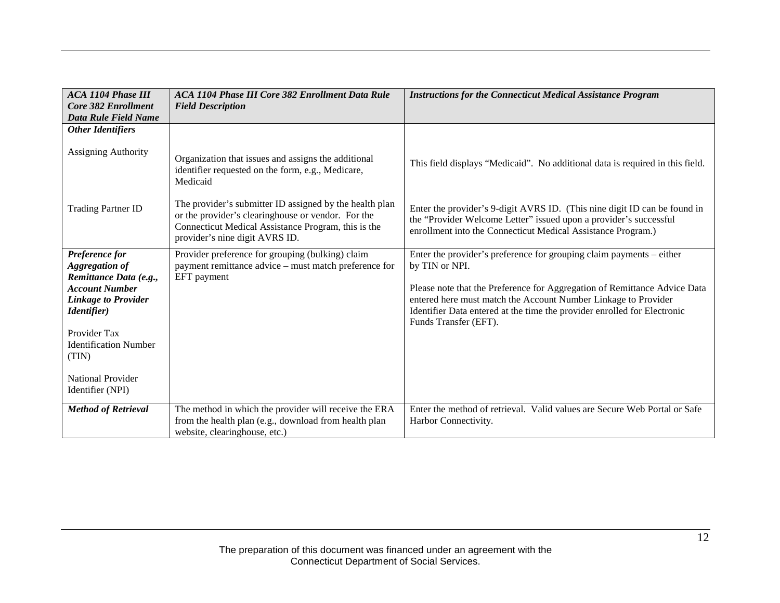| <b>ACA 1104 Phase III</b><br>Core 382 Enrollment                                                                                                                                                                                                  | <b>ACA 1104 Phase III Core 382 Enrollment Data Rule</b><br><b>Field Description</b>                                                                                                                    | <b>Instructions for the Connecticut Medical Assistance Program</b>                                                                                                                                                                                                                                                                         |
|---------------------------------------------------------------------------------------------------------------------------------------------------------------------------------------------------------------------------------------------------|--------------------------------------------------------------------------------------------------------------------------------------------------------------------------------------------------------|--------------------------------------------------------------------------------------------------------------------------------------------------------------------------------------------------------------------------------------------------------------------------------------------------------------------------------------------|
| <b>Data Rule Field Name</b>                                                                                                                                                                                                                       |                                                                                                                                                                                                        |                                                                                                                                                                                                                                                                                                                                            |
| <b>Other Identifiers</b>                                                                                                                                                                                                                          |                                                                                                                                                                                                        |                                                                                                                                                                                                                                                                                                                                            |
| Assigning Authority                                                                                                                                                                                                                               | Organization that issues and assigns the additional<br>identifier requested on the form, e.g., Medicare,<br>Medicaid                                                                                   | This field displays "Medicaid". No additional data is required in this field.                                                                                                                                                                                                                                                              |
| <b>Trading Partner ID</b>                                                                                                                                                                                                                         | The provider's submitter ID assigned by the health plan<br>or the provider's clearinghouse or vendor. For the<br>Connecticut Medical Assistance Program, this is the<br>provider's nine digit AVRS ID. | Enter the provider's 9-digit AVRS ID. (This nine digit ID can be found in<br>the "Provider Welcome Letter" issued upon a provider's successful<br>enrollment into the Connecticut Medical Assistance Program.)                                                                                                                             |
| Preference for<br><b>Aggregation of</b><br>Remittance Data (e.g.,<br><b>Account Number</b><br><b>Linkage to Provider</b><br><i>Identifier</i> )<br>Provider Tax<br><b>Identification Number</b><br>(TIN)<br>National Provider<br>Identifier (NPI) | Provider preference for grouping (bulking) claim<br>payment remittance advice – must match preference for<br>EFT payment                                                                               | Enter the provider's preference for grouping claim payments – either<br>by TIN or NPI.<br>Please note that the Preference for Aggregation of Remittance Advice Data<br>entered here must match the Account Number Linkage to Provider<br>Identifier Data entered at the time the provider enrolled for Electronic<br>Funds Transfer (EFT). |
| <b>Method of Retrieval</b>                                                                                                                                                                                                                        | The method in which the provider will receive the ERA<br>from the health plan (e.g., download from health plan<br>website, clearinghouse, etc.)                                                        | Enter the method of retrieval. Valid values are Secure Web Portal or Safe<br>Harbor Connectivity.                                                                                                                                                                                                                                          |